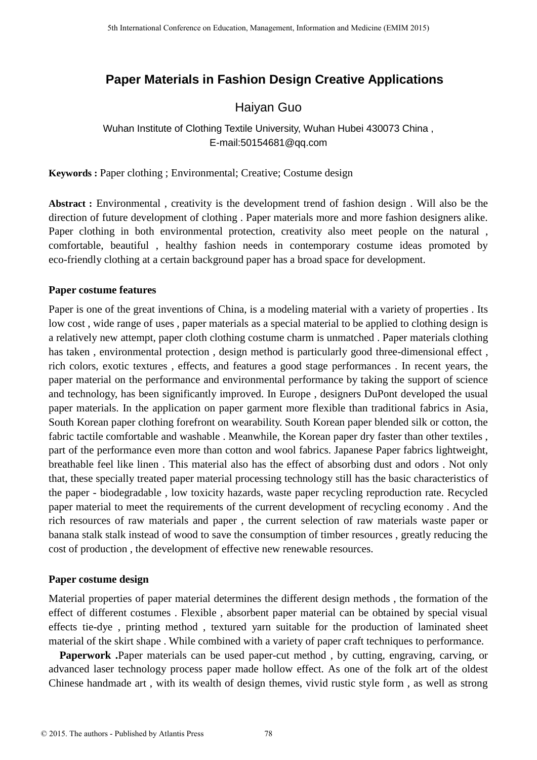# **Paper Materials in Fashion Design Creative Applications**

## Haiyan Guo

## Wuhan Institute of Clothing Textile University, Wuhan Hubei 430073 China , E-mail:50154681@qq.com

**Keywords :** Paper clothing ; Environmental; Creative; Costume design

**Abstract :** Environmental , creativity is the development trend of fashion design . Will also be the direction of future development of clothing . Paper materials more and more fashion designers alike. Paper clothing in both environmental protection, creativity also meet people on the natural, comfortable, beautiful , healthy fashion needs in contemporary costume ideas promoted by eco-friendly clothing at a certain background paper has a broad space for development.

### **Paper costume features**

Paper is one of the great inventions of China, is a modeling material with a variety of properties . Its low cost , wide range of uses , paper materials as a special material to be applied to clothing design is a relatively new attempt, paper cloth clothing costume charm is unmatched . Paper materials clothing has taken , environmental protection , design method is particularly good three-dimensional effect , rich colors, exotic textures , effects, and features a good stage performances . In recent years, the paper material on the performance and environmental performance by taking the support of science and technology, has been significantly improved. In Europe , designers DuPont developed the usual paper materials. In the application on paper garment more flexible than traditional fabrics in Asia, South Korean paper clothing forefront on wearability. South Korean paper blended silk or cotton, the fabric tactile comfortable and washable . Meanwhile, the Korean paper dry faster than other textiles , part of the performance even more than cotton and wool fabrics. Japanese Paper fabrics lightweight, breathable feel like linen . This material also has the effect of absorbing dust and odors . Not only that, these specially treated paper material processing technology still has the basic characteristics of the paper - biodegradable , low toxicity hazards, waste paper recycling reproduction rate. Recycled paper material to meet the requirements of the current development of recycling economy . And the rich resources of raw materials and paper , the current selection of raw materials waste paper or banana stalk stalk instead of wood to save the consumption of timber resources , greatly reducing the cost of production , the development of effective new renewable resources.

### **Paper costume design**

Material properties of paper material determines the different design methods , the formation of the effect of different costumes . Flexible , absorbent paper material can be obtained by special visual effects tie-dye , printing method , textured yarn suitable for the production of laminated sheet material of the skirt shape . While combined with a variety of paper craft techniques to performance.

**Paperwork .**Paper materials can be used paper-cut method , by cutting, engraving, carving, or advanced laser technology process paper made hollow effect. As one of the folk art of the oldest Chinese handmade art , with its wealth of design themes, vivid rustic style form , as well as strong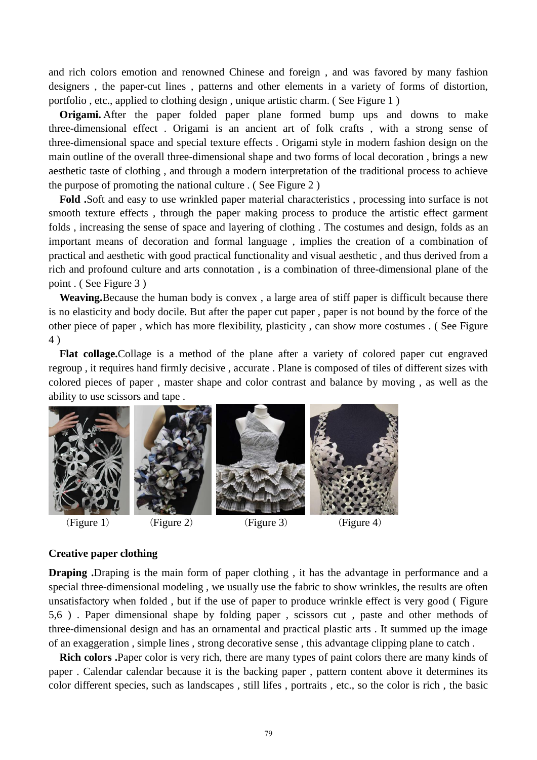and rich colors emotion and renowned Chinese and foreign , and was favored by many fashion designers , the paper-cut lines , patterns and other elements in a variety of forms of distortion, portfolio , etc., applied to clothing design , unique artistic charm. ( See Figure 1 )

**Origami.** After the paper folded paper plane formed bump ups and downs to make three-dimensional effect . Origami is an ancient art of folk crafts , with a strong sense of three-dimensional space and special texture effects . Origami style in modern fashion design on the main outline of the overall three-dimensional shape and two forms of local decoration , brings a new aesthetic taste of clothing , and through a modern interpretation of the traditional process to achieve the purpose of promoting the national culture . ( See Figure 2 )

**Fold .**Soft and easy to use wrinkled paper material characteristics , processing into surface is not smooth texture effects , through the paper making process to produce the artistic effect garment folds , increasing the sense of space and layering of clothing . The costumes and design, folds as an important means of decoration and formal language , implies the creation of a combination of practical and aesthetic with good practical functionality and visual aesthetic , and thus derived from a rich and profound culture and arts connotation , is a combination of three-dimensional plane of the point . ( See Figure 3 )

**Weaving.**Because the human body is convex , a large area of stiff paper is difficult because there is no elasticity and body docile. But after the paper cut paper , paper is not bound by the force of the other piece of paper , which has more flexibility, plasticity , can show more costumes . ( See Figure 4 )

**Flat collage.**Collage is a method of the plane after a variety of colored paper cut engraved regroup , it requires hand firmly decisive , accurate . Plane is composed of tiles of different sizes with colored pieces of paper , master shape and color contrast and balance by moving , as well as the ability to use scissors and tape .





#### **Creative paper clothing**

**Draping .**Draping is the main form of paper clothing , it has the advantage in performance and a special three-dimensional modeling , we usually use the fabric to show wrinkles, the results are often unsatisfactory when folded , but if the use of paper to produce wrinkle effect is very good ( Figure 5,6 ) . Paper dimensional shape by folding paper , scissors cut , paste and other methods of three-dimensional design and has an ornamental and practical plastic arts . It summed up the image of an exaggeration , simple lines , strong decorative sense , this advantage clipping plane to catch .

**Rich colors .**Paper color is very rich, there are many types of paint colors there are many kinds of paper . Calendar calendar because it is the backing paper , pattern content above it determines its color different species, such as landscapes , still lifes , portraits , etc., so the color is rich , the basic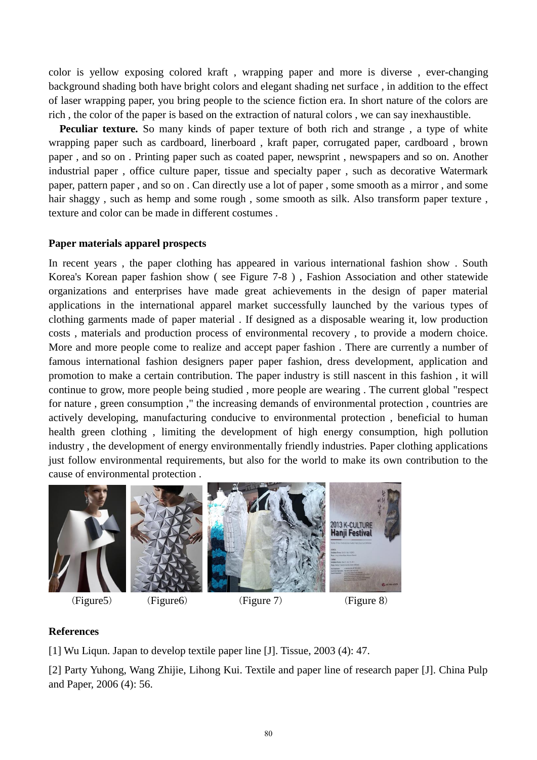color is yellow exposing colored kraft , wrapping paper and more is diverse , ever-changing background shading both have bright colors and elegant shading net surface , in addition to the effect of laser wrapping paper, you bring people to the science fiction era. In short nature of the colors are rich , the color of the paper is based on the extraction of natural colors , we can say inexhaustible.

**Peculiar texture.** So many kinds of paper texture of both rich and strange , a type of white wrapping paper such as cardboard, linerboard , kraft paper, corrugated paper, cardboard , brown paper , and so on . Printing paper such as coated paper, newsprint , newspapers and so on. Another industrial paper , office culture paper, tissue and specialty paper , such as decorative Watermark paper, pattern paper , and so on . Can directly use a lot of paper , some smooth as a mirror , and some hair shaggy , such as hemp and some rough , some smooth as silk. Also transform paper texture , texture and color can be made in different costumes .

#### **Paper materials apparel prospects**

In recent years , the paper clothing has appeared in various international fashion show . South Korea's Korean paper fashion show ( see Figure 7-8 ) , Fashion Association and other statewide organizations and enterprises have made great achievements in the design of paper material applications in the international apparel market successfully launched by the various types of clothing garments made of paper material . If designed as a disposable wearing it, low production costs , materials and production process of environmental recovery , to provide a modern choice. More and more people come to realize and accept paper fashion . There are currently a number of famous international fashion designers paper paper fashion, dress development, application and promotion to make a certain contribution. The paper industry is still nascent in this fashion , it will continue to grow, more people being studied , more people are wearing . The current global "respect for nature , green consumption ," the increasing demands of environmental protection , countries are actively developing, manufacturing conducive to environmental protection , beneficial to human health green clothing , limiting the development of high energy consumption, high pollution industry , the development of energy environmentally friendly industries. Paper clothing applications just follow environmental requirements, but also for the world to make its own contribution to the cause of environmental protection .



(Figure 5) (Figure 6) (Figure 7) (Figure 8)

### **References**

[1] Wu Liqun. Japan to develop textile paper line [J]. Tissue, 2003 (4): 47.

[2] Party Yuhong, Wang Zhijie, Lihong Kui. Textile and paper line of research paper [J]. China Pulp and Paper, 2006 (4): 56.